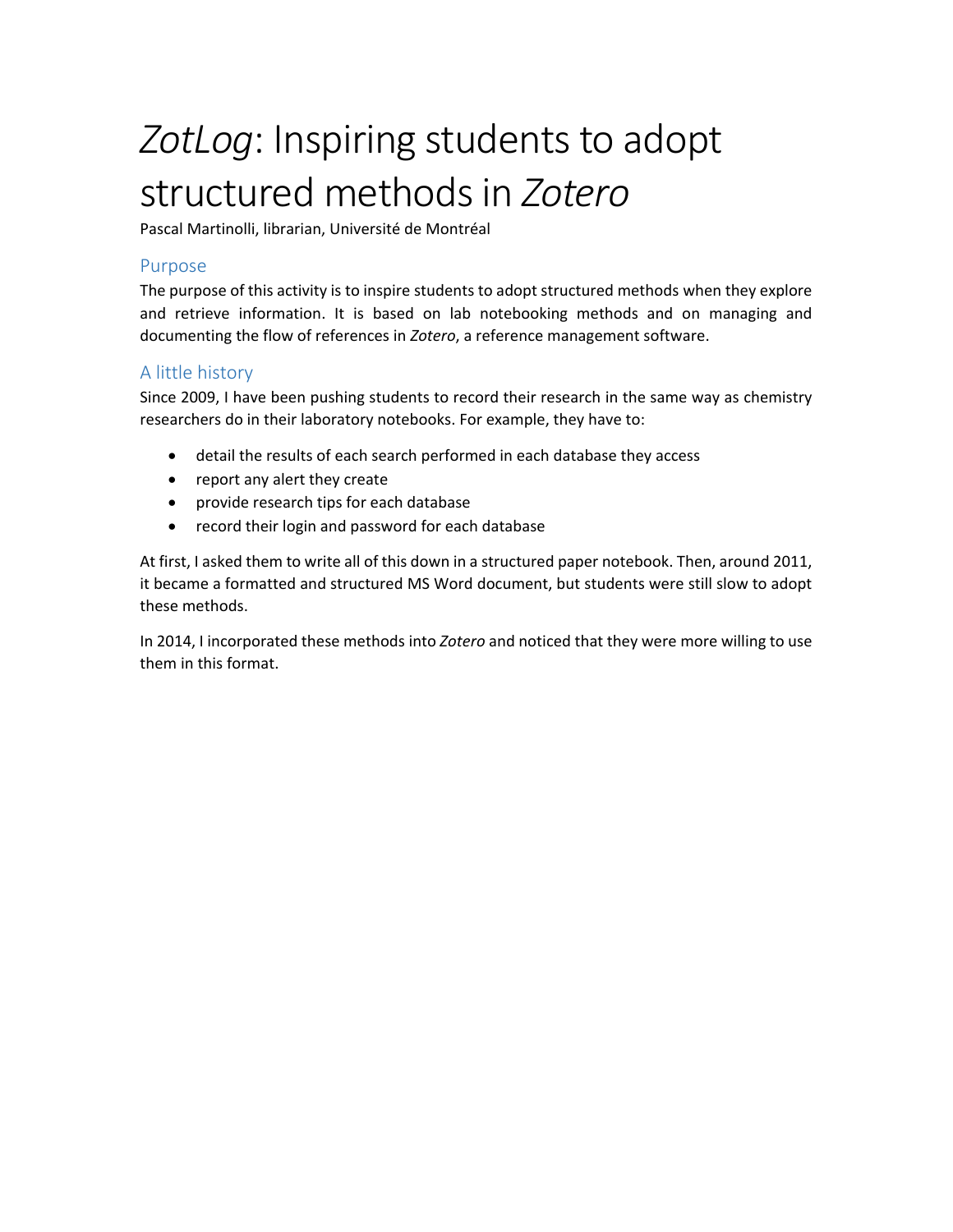# ZotLog: Inspiring students to adopt structured methods in *Zotero*

Pascal Martinolli, librarian, Université de Montréal

#### Purpose

The purpose of this activity is to inspire students to adopt structured methods when they explore and retrieve information. It is based on lab notebooking methods and on managing and documenting the flow of references in *Zotero*, a reference management software.

### A little history

Since 2009, I have been pushing students to record their research in the same way as chemistry researchers do in their laboratory notebooks. For example, they have to:

- detail the results of each search performed in each database they access
- report any alert they create
- provide research tips for each database
- record their login and password for each database

At first, I asked them to write all of this down in a structured paper notebook. Then, around 2011, it became a formatted and structured MS Word document, but students were still slow to adopt these methods.

In 2014, I incorporated these methods into *Zotero* and noticed that they were more willing to use them in this format.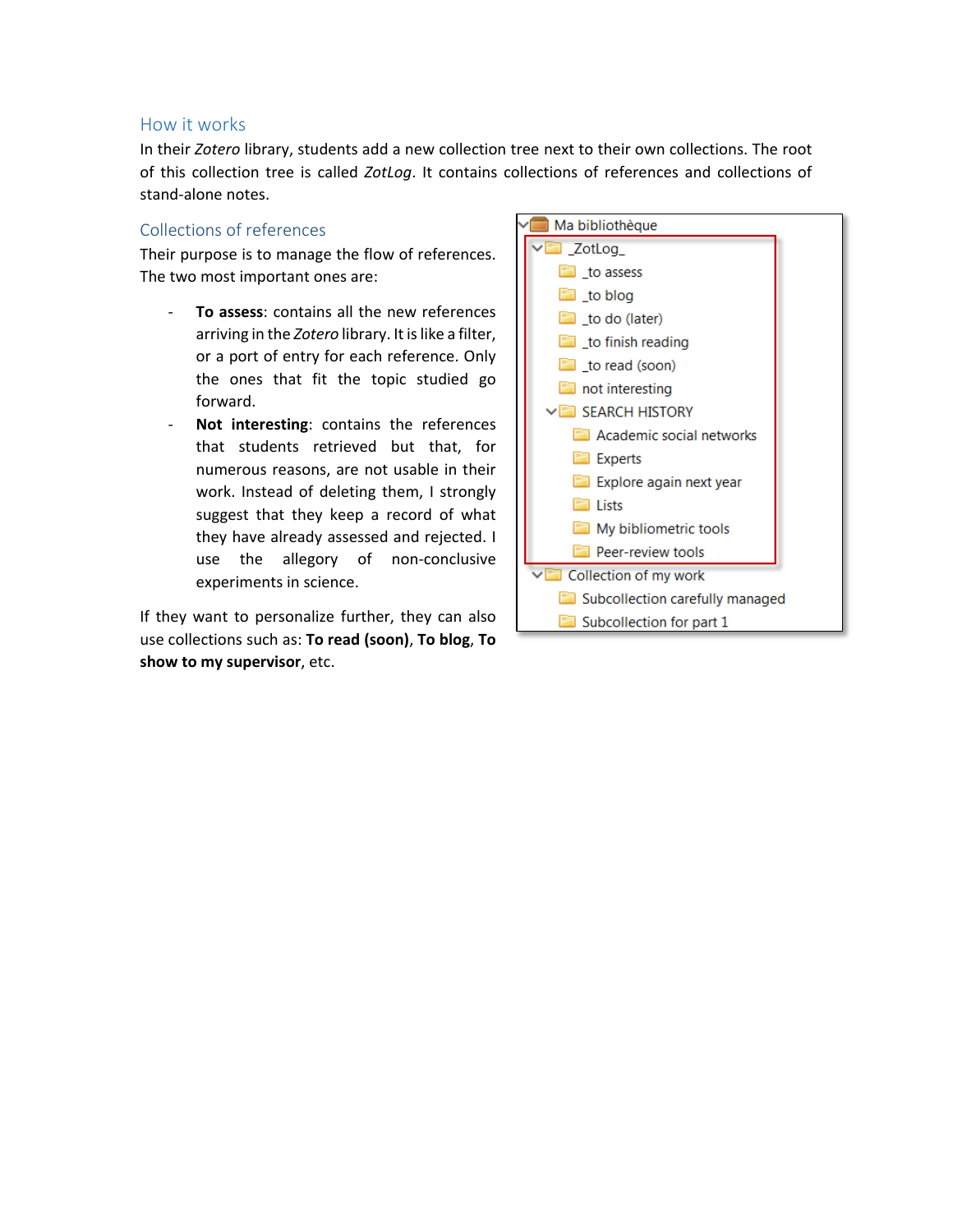#### How it works

In their *Zotero* library, students add a new collection tree next to their own collections. The root of this collection tree is called *ZotLog*. It contains collections of references and collections of stand-alone notes.

#### Collections of references

Their purpose is to manage the flow of references. The two most important ones are:

- **To assess**: contains all the new references arriving in the Zotero library. It is like a filter, or a port of entry for each reference. Only the ones that fit the topic studied go forward.
- Not interesting: contains the references that students retrieved but that, for numerous reasons, are not usable in their work. Instead of deleting them, I strongly suggest that they keep a record of what they have already assessed and rejected. I use the allegory of non-conclusive experiments in science.

If they want to personalize further, they can also use collections such as: **To read (soon)**, **To blog**, **To show to my supervisor**, etc.

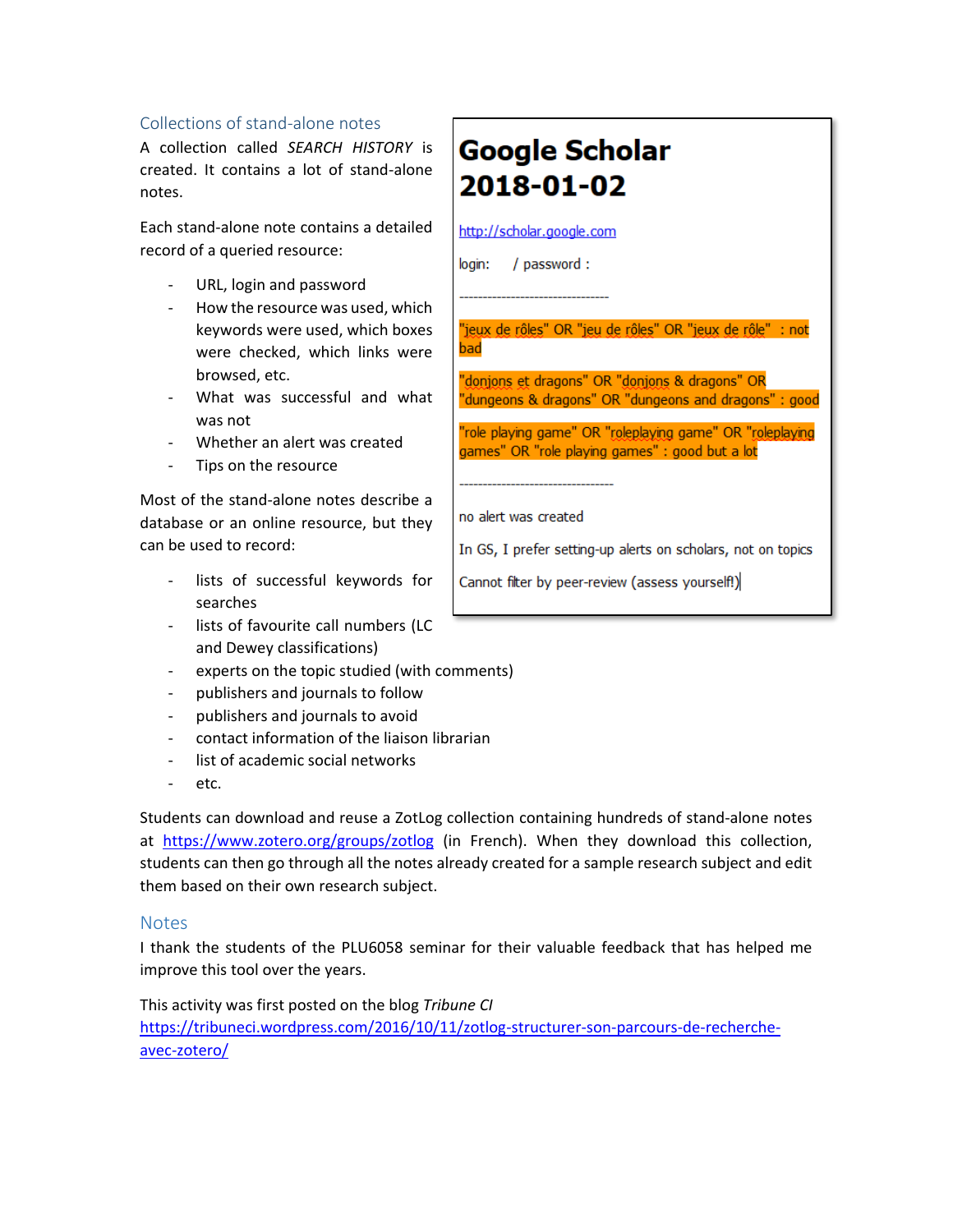#### Collections of stand-alone notes

A collection called *SEARCH HISTORY* is created. It contains a lot of stand-alone notes.

Each stand-alone note contains a detailed record of a queried resource:

- URL, login and password
- How the resource was used, which keywords were used, which boxes were checked, which links were browsed, etc.
- What was successful and what was not
- Whether an alert was created
- Tips on the resource

Most of the stand-alone notes describe a database or an online resource, but they can be used to record:

- lists of successful keywords for searches
- lists of favourite call numbers (LC and Dewey classifications)
- experts on the topic studied (with comments)
- publishers and journals to follow
- publishers and journals to avoid
- contact information of the liaison librarian
- list of academic social networks
- etc.

Students can download and reuse a ZotLog collection containing hundreds of stand-alone notes at <https://www.zotero.org/groups/zotlog> (in French). When they download this collection, students can then go through all the notes already created for a sample research subject and edit them based on their own research subject.

#### **Notes**

I thank the students of the PLU6058 seminar for their valuable feedback that has helped me improve this tool over the years.

This activity was first posted on the blog *Tribune CI*  [https://tribuneci.wordpress.com/2016/10/11/zotlog-structurer-son-parcours-de-recherche](https://tribuneci.wordpress.com/2016/10/11/zotlog-structurer-son-parcours-de-recherche-avec-zotero/)[avec-zotero/](https://tribuneci.wordpress.com/2016/10/11/zotlog-structurer-son-parcours-de-recherche-avec-zotero/)

# **Google Scholar** 2018-01-02

http://scholar.google.com

login: / password:

"jeux de rôles" OR "jeu de rôles" OR "jeux de rôle" : not had

"donjons et dragons" OR "donjons & dragons" OR "dungeons & dragons" OR "dungeons and dragons" : good

"role playing game" OR "roleplaying game" OR "roleplaying games" OR "role playing games" : good but a lot

no alert was created

In GS, I prefer setting-up alerts on scholars, not on topics

Cannot filter by peer-review (assess yourself!)